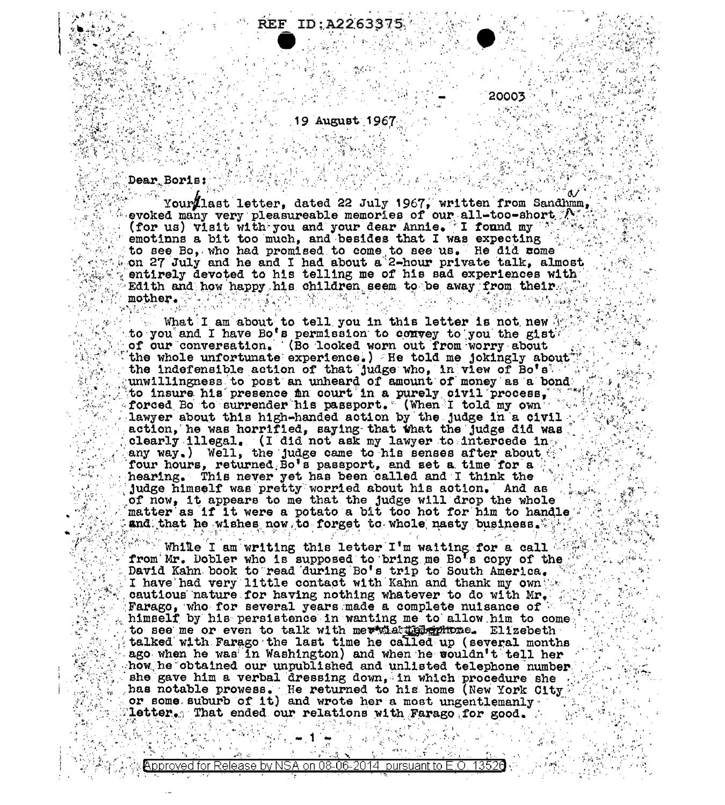

20003 -

### 19 August 1967

Dear Boris:

ry.

Your last letter, dated 22 July 1967, written from Sandhmm, (for us) visit with you and your dear Annie. I found my "") emotinns a bit too much, and besides that I was expecting to see Bo, who had promised to come to see us. He did come on 27 July and he and I had about a 2-hour private talk, almost entirely devoted to his telling me of his sad experiences with Edith and how happy his children seem to be away from their  $\label{eq:RMS2} \frac{1}{\sqrt{2}}\frac{\partial^2 g}{\partial x^2}\frac{\partial^2 g}{\partial y^2}\frac{\partial^2 g}{\partial y^2}\frac{\partial^2 g}{\partial y^2}\frac{\partial^2 g}{\partial y^2}\frac{\partial^2 g}{\partial y^2}\frac{\partial^2 g}{\partial y^2}\frac{\partial^2 g}{\partial y^2}\frac{\partial^2 g}{\partial y^2}\frac{\partial^2 g}{\partial y^2}\frac{\partial^2 g}{\partial y^2}\frac{\partial^2 g}{\partial y^2}\frac{\partial^2 g}{\partial y^2}\frac{\partial^2 g}{\partial y^2}\frac{\partial^2 g}{\partial y^2}\frac{\partial^2$ mother.  $\mathbb{R}_{\geq 0}$  . المستقلات أعجل

What I am about to tell you in this letter is not new interest to you and I have Bo's permission to convey to you the gist of our conversation. (Bo looked worn out from worry about the whole unfortunate experience.) He told me jokingly about the indefensible action of that judge who, in view of Bo's to insure his presence in court in a purely civil process, when forced Bo to surrender his passport. (When I told my own lawyer about this high-handed action by the judge in a civil action, he was horrified, saying that that the judge did was clearly illegal. (I did not ask my lawyer to intercede in any way.) Well, the judge came to his senses after about four hours, returned Bo's passport, and set a time for a hearing. This never yet has been called and I think the judge himself was pretty worried about his action. And as of now, it appears to me that the judge will drop the whole matter as if it were a potato a bit too hot for him to handle and that he wishes now to forget to whole nasty business.

While I am writing this letter  $I^{\dagger}$ m waiting for a call  $\sim$   $\sim$  from Mr. Dobler who is supposed to bring me Bo's copy of the David Kahn book to read during Bo's trip to South America. I have had very little contact with Kahn and thank my own the I have had very flutte contain with norm of the minimum contious nature for having nothing whatever to do with Mr.<br>Farago, who for several years made a complete nuisance of himself by his persistence in wanting me to allow to see me or even to talk with methology and entropy Elizebeth talked with Farago the last time he called up (several months ago when he was in Washington) and when he wouldn't tell her how he obtained our unpublished and unlisted telephone number thas notable prowess. He returned to his home (New York City: or some suburb of it) and wrote her a most ungentlemanly letter. That ended our relations with Farago for good.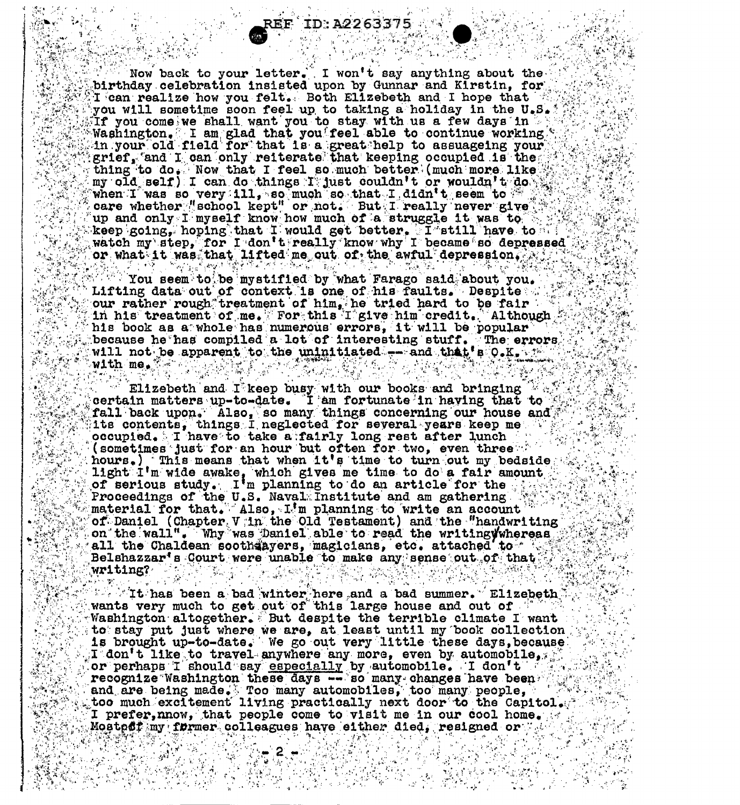Now back to your letter. I won't say anything about the birthday celebration insisted upon by Gunnar and Kirstin, for Team realize how you felt. Both Elizebeth and I hope that you will sometime soon feel up to taking a holiday in the U.S.  $^*$ Tf you come we shall want you to stay with us a few days in the Washington. I am glad that you'feel able to continue working. thing to do. Now that I feel so much better (much more like my old self) I can do things I just couldn't or wouldn't do<br>when I was so very ill, so much so that I didn't seem to<br>care whether "school kept" or not. But I really never give

EF ID:A2263375

up and only I myself know how much of a struggle it was to<br>theep going, hoping that I would get better, I still have to<br>watch my step, for I don't really know why I became so depressed<br>or what it was that lifted me out of nis book as a whole has humerous with  $\frac{1}{2}$ , which is presented to the errors  $\frac{1}{2}$ . 

Elizebeth and I keep busy with our books and bringing that to the certain matters up-to-date. I am fortunate in having that to the fall back upon. Also, so many things concerning our house and (sometimes just for an hour but often for two, even three that hours.) This means that when it's time to turn out my bedside Iight  $1^{\dagger}$ m wide awake, which gives me time to do a fair amount of serious study. I'm planning to do an article for the Proceedings of the U.S. Naval Institute and am gathering We Interial for that. Also, I'm planning to write an account<br>of Daniel (Chapter V in the Old Testament) and the "handwriting"<br>on the wall". Why was Daniel able to read the writing whereas<br>all the Chaldean sooth ayers, magicia  $\mathbb{R}^n$  is a set  $\mathbb{R}^n$ There was

The second of the same and a bad summer. Elizebeth wants very much to get out of this large house and out of the second out of Washington altogether. But despite the terrible climate I want sto stay put just where we are, at least until my book collection  $\mathbb{R}^n$ is brought up-to-date. We go out very little these days, because the figure of the second product in the to travel anywhere any more, even by automobile. or perhaps I should say especially by automobile. I don't recognize Washington these days -- so many changes have been and are being made. Too many automobiles, too many people, too much excitement living practically next door to the Capitol. I prefer, nnow, that people come to v recognize Washington these days -- so many changes have been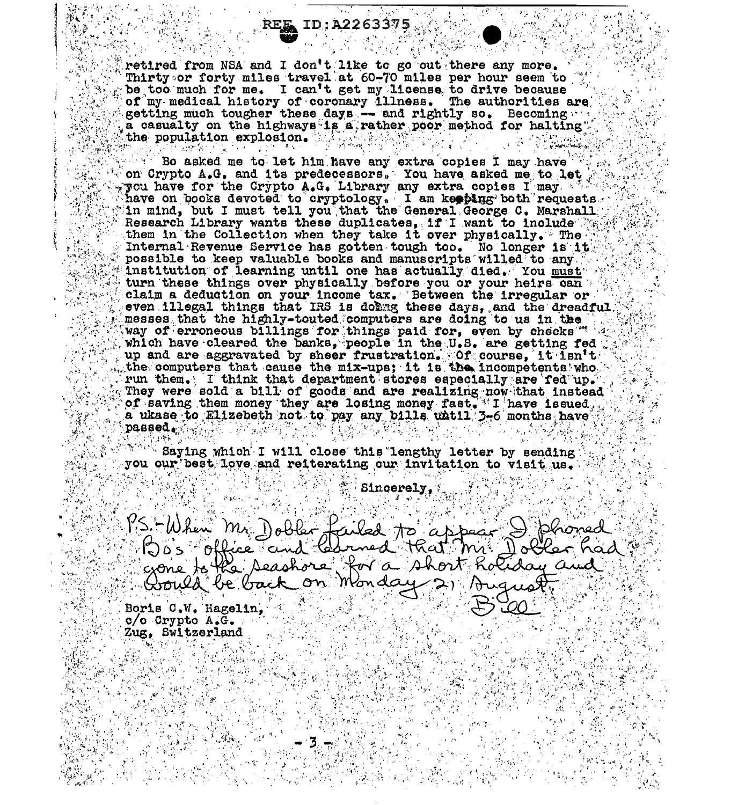#### ID:A2263375

retired from NSA and I don't like to go out there any more. Thirty or forty miles travel at 60-70 miles per hour seem to be too much for me. I can't get my license to drive because of my medical history of coronary illness. The authorities are getting much tougher these days -- and rightly so. Becoming a casualty on the highways is a rather poor method for halting" the population explosion.

Bo asked me to let him have any extra copies I may have on Crypto A.G. and its predecessors. You have asked me to let yvcu have for the Crypto A.G. Library any extra copies I may when have on books devoted to cryptology. I am keeping both requests in mind, but I must tell you that the General George C. Marshall Research Library wants these duplicates, if I want to include  $\mathbb{Z}$ them in the Collection when they take it over physically. The Internal Revenue Service has gotten tough too. No longer is it. possible to keep valuable books and manuscripts willed to any institution of learning until one has actually died. You must turn these things over physically before you or your heirs can claim a deduction on your income tax. Between the irregular or even illegal things that IRS is doing these days, and the dreadful messes that the highly-touted computers are doing to us in the way of erroneous billings for things paid for, even by checks " which have cleared the banks, people in the U.S. are getting fed up and are aggravated by sheer frustration. Of course, it isn't  $\blacksquare$ the computers that cause the mix-ups; it is the incompetents who had run them. I think that department stores especially are red up. They were sold a bill of goods and are realizing now that instead of saving them money they are losing money fast. I have issued a ukase to Elizebeth not to pay any bills whtil 3-6 months have **Dassed** Market La

Saying which I will close this lengthy letter by sending you our best love and reiterating our invitation to visit us.

Sincerely,

 $PS-Hb$ hen ailed to appear rned that m. Dobler t for a short Rotiday a Monday 21 Aug Boris C.W. Hagelin.

 $c/o$  Crypto  $A<sub>•</sub>G<sub>•</sub>$ . Zug, Switzerland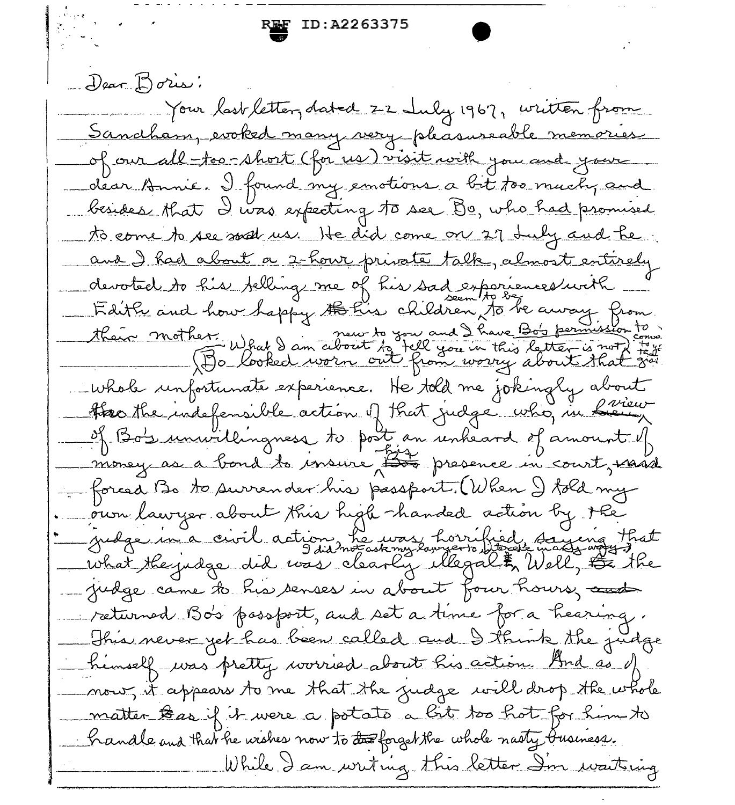**EF ID:A2263375** 

Dear Boris: Your last letter, dated 22 July 1967, written from Sancthary evoked many very pleasureable memories of our all-too-short (for us) visit with you and your dear Annie. I found my emotions a bit too much, and besides that I was expecting to see Be, who had promised to come to see was us. He did come on 27 July and he. <u>and I had about a 2-hour private talk, almost entirely</u> devoted to his felling me of his sad exporiences with \_\_\_<br>Faith and how happy to his children to be away from their mother What I am about to you and I have Boy permission.<br>(Bo looked worn out fact you in this letter is not) Whole unfortunate experience. He told me jokingly about Haothe indefensible action of that judge who, in finieur of Boy unwillingness to post an unheard of amount of money as a bond to insure the presence in court, maid - forced Bo to surrender his passport. (When I told my our lawyer about this high handed action by the gredge in a civil action he was horrified saying that what the judge did was clearly illegal & Well, Judge came to his senses in about four hours, and returned Bo's possport, and set a time for a hearing. This never yet has been called and I think the judge himself was pretty worried about his action. And as of mour, it appears to me that the judge will drop the whole matter teas if it were a potato a bit too hot for him to handle and that he wishes now to the forget the whole nasty business. While I am writing this letter Im waitsing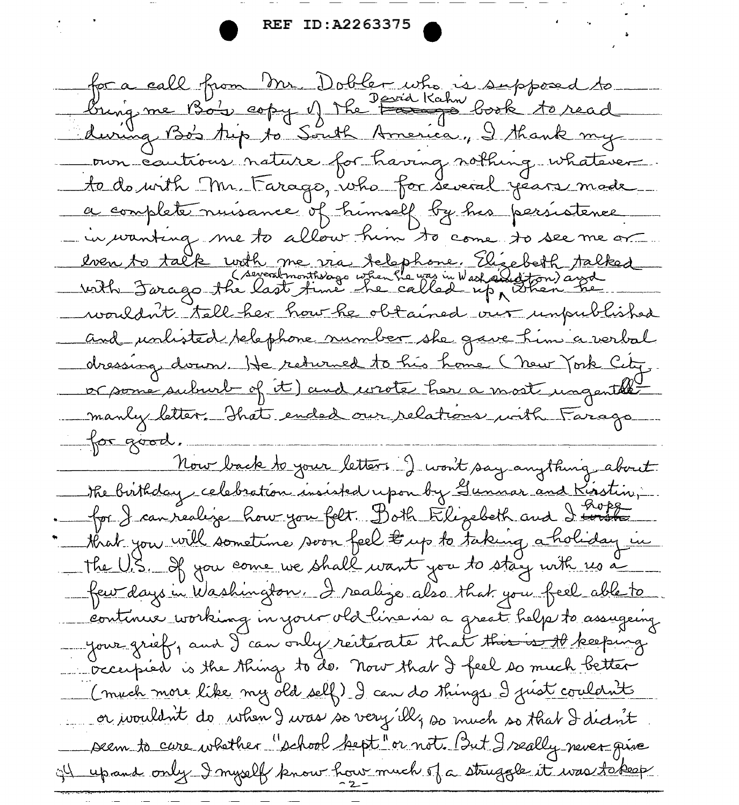for a call from Mr. Dobler who is supposed to during Bo's trip to South America, I thank my our cautions nature for having nothing whatever. to do with Mr. Farago, who for several years made a complete nuisance of himself by his persistence in wanting me to allow him to come to see me or even to talk with me via telephone. Elisabeth talked<br>(severatmonthologo when he was in Wash and ton) and wouldn't tell her how he obtained our unpublished and unlisted belephone number she gave him a verbal dressing down. He returned to his home (new York City, or some suburb of it) and wrote her a most ungenthe manly letter. That ended our relations with Farago for good Now back to your letters I won't say anything about the birthday celebration insisted upon by Gunnar and Kisstin, for J can réalise hour you felt. D'ath Elizabeth and I toute that you will sometime soon feel  $\#$  up to taking a holiday in the U.S. of you come we shall want you to stay with us a few days in Washington. I realize also that you feel able to continue working in your old line is a great help to assugaing your grief, and I can only resterate that this is the keeping crecupied is the thing to do. Now that I feel so much better (much more like my old self) I can do things I just couldn't or wouldn't do when I was so very illy so much so that I didn't seem to care whether "school bept" or not. But I really never give ill upand only I myself know how much of a struggle it was tokeep.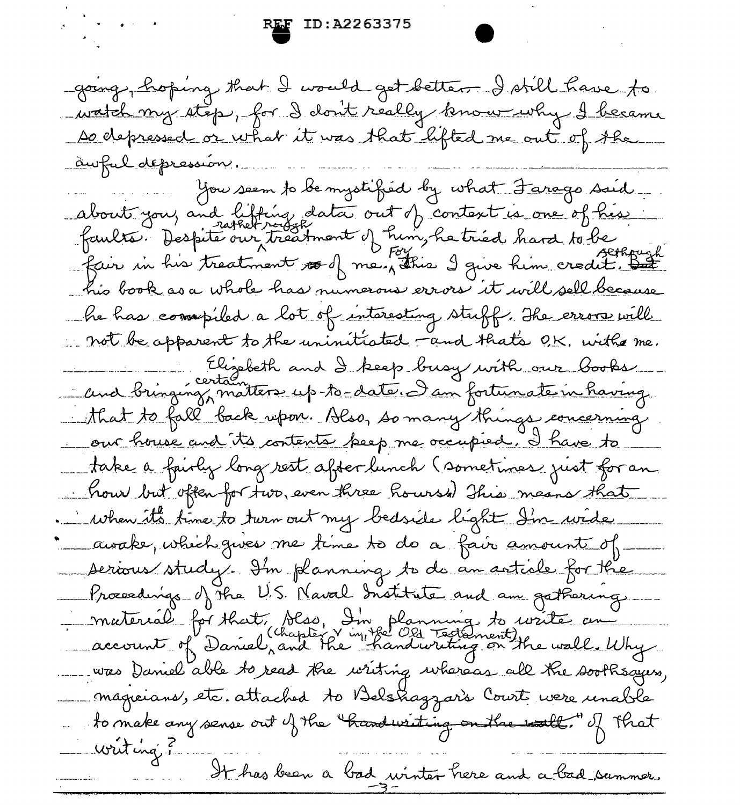going, hoping that I would get better. I still have to watch my step, for I don't really know why I became De depressed or what it was that lifted me out of the <u>awful depression.</u> You seem to be mystified by what Farago said. about you, and litting data out of context is one of his faults. Despité our tréatment of him, he tried hard to be his book as a whole has numerous errors it will sell because he has compiled a lot of interesting stuff. The error will not be apparent to the uninitiated and that's O.K. with me. Elizabeth and I keep busy with our books that to fall back upon. Also, so many things concerning our house and its contents keep me occupied. I have to take a fairly long rest after lunch (sometimes just for an how but often for two, even three Rours's This means that . When it's time to turn out my bedside light I'm wide. awake, which gives me time to do a fair amount of serious study. In planning to do an article for the Proceedings of the U.S. Naval Institute and am gathering \_\_\_ material for that, blss, In planning to write en --- was Daniel able to read the writing whereas all the soothsayers, magneians, etc. attached to Belshagzars Court were renable to make any sense out of the thandwriting on the wall. of that writing ? It has been a bad winter here and a bad summer.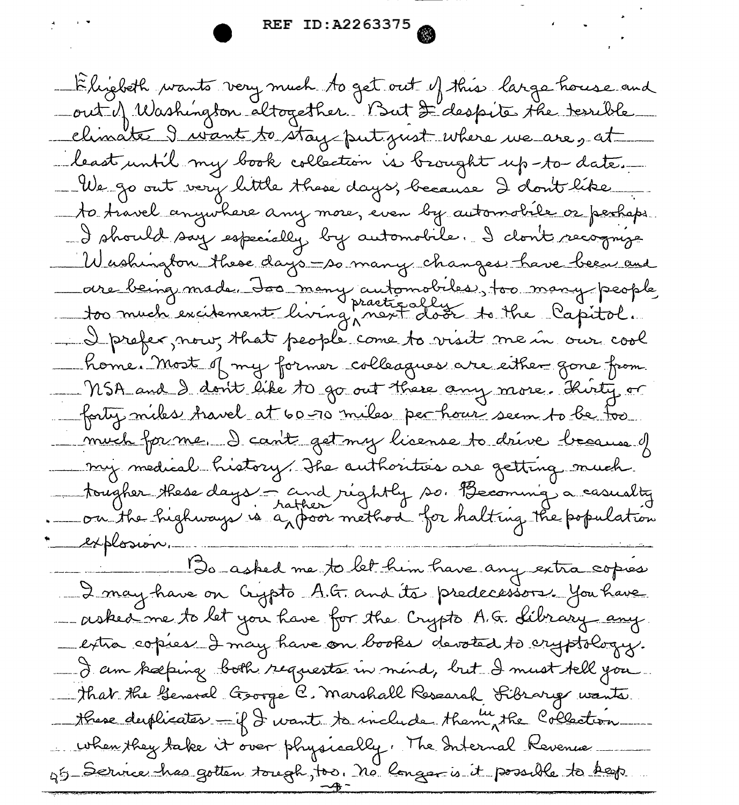-Elizbeth wants very much to get out of this large house and -out of Washington altogether. But D'despite the terrible climate I want to stay put just where we are g at least until my book collection is brought up-to-date. We go out very little these days, because I don't like to travel anywhere any more, even by automobile or perhaps. -I should say especially by automobile. I clont recognize Washington these days -so many changes have been and ave being made. Jos many automobiles, too many people - I prefer, now, that people come to visit me in our cool \_ home. Most of my former colleagues are either gone from MSA and I don't like to go out there any more. Thirty or forty miles travel at 60 00 miles per hour seem to be too much forme. I can't get my lisense to drive because of my medical history. The authorities are getting much tougher these days - and réghtly so. Becoming a casualty.<br>Da the highways is a poor method for halting the population. explosion. Do asked me to let him have any extra copies 2 may have on Crypto A.G. and its predecessors. You have - asked me to let you have for the Crypto A.G. Library any. -extra copies I may have on books devoted to cryptology. - I am kæping both requests in mind, but I must tell you. That the General Goorge C. Marshall Research Fibrary wants these desphicates - if I want to include them, the Collection when they take it over physically. The Internal Revenue g5 Service has gotten tough, too. No longer is it possible to keep